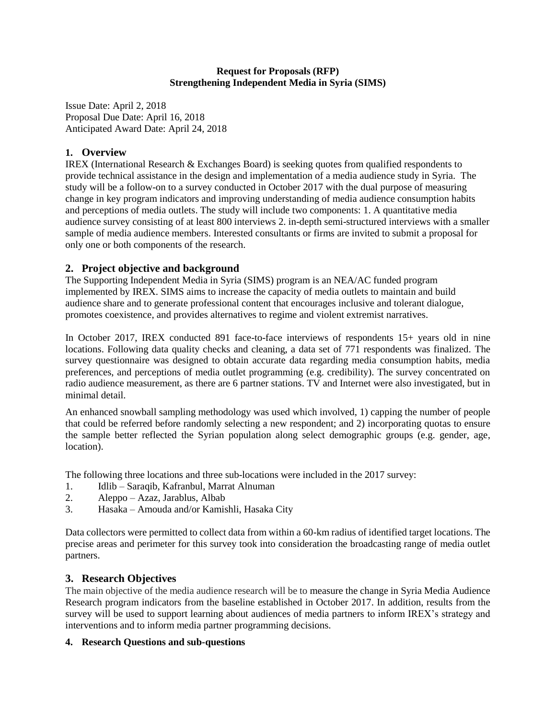#### **Request for Proposals (RFP) Strengthening Independent Media in Syria (SIMS)**

Issue Date: April 2, 2018 Proposal Due Date: April 16, 2018 Anticipated Award Date: April 24, 2018

# **1. Overview**

IREX (International Research & Exchanges Board) is seeking quotes from qualified respondents to provide technical assistance in the design and implementation of a media audience study in Syria. The study will be a follow-on to a survey conducted in October 2017 with the dual purpose of measuring change in key program indicators and improving understanding of media audience consumption habits and perceptions of media outlets. The study will include two components: 1. A quantitative media audience survey consisting of at least 800 interviews 2. in-depth semi-structured interviews with a smaller sample of media audience members. Interested consultants or firms are invited to submit a proposal for only one or both components of the research.

# **2. Project objective and background**

The Supporting Independent Media in Syria (SIMS) program is an NEA/AC funded program implemented by IREX. SIMS aims to increase the capacity of media outlets to maintain and build audience share and to generate professional content that encourages inclusive and tolerant dialogue, promotes coexistence, and provides alternatives to regime and violent extremist narratives.

In October 2017, IREX conducted 891 face-to-face interviews of respondents 15+ years old in nine locations. Following data quality checks and cleaning, a data set of 771 respondents was finalized. The survey questionnaire was designed to obtain accurate data regarding media consumption habits, media preferences, and perceptions of media outlet programming (e.g. credibility). The survey concentrated on radio audience measurement, as there are 6 partner stations. TV and Internet were also investigated, but in minimal detail.

An enhanced snowball sampling methodology was used which involved, 1) capping the number of people that could be referred before randomly selecting a new respondent; and 2) incorporating quotas to ensure the sample better reflected the Syrian population along select demographic groups (e.g. gender, age, location).

The following three locations and three sub-locations were included in the 2017 survey:

- 1. Idlib Saraqib, Kafranbul, Marrat Alnuman
- 2. Aleppo Azaz, Jarablus, Albab
- 3. Hasaka Amouda and/or Kamishli, Hasaka City

Data collectors were permitted to collect data from within a 60-km radius of identified target locations. The precise areas and perimeter for this survey took into consideration the broadcasting range of media outlet partners.

## **3. Research Objectives**

The main objective of the media audience research will be to measure the change in Syria Media Audience Research program indicators from the baseline established in October 2017. In addition, results from the survey will be used to support learning about audiences of media partners to inform IREX's strategy and interventions and to inform media partner programming decisions.

### **4. Research Questions and sub-questions**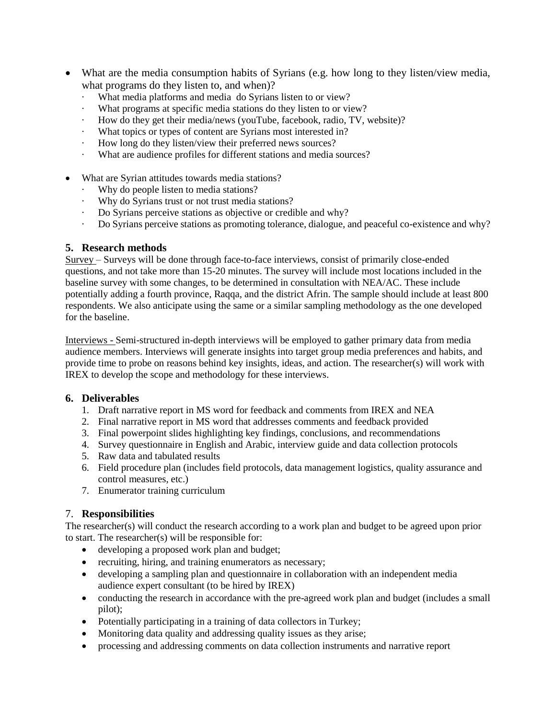- What are the media consumption habits of Syrians (e.g. how long to they listen/view media, what programs do they listen to, and when)?
	- What media platforms and media do Syrians listen to or view?
	- · What programs at specific media stations do they listen to or view?
	- How do they get their media/news (youTube, facebook, radio, TV, website)?
	- · What topics or types of content are Syrians most interested in?
	- How long do they listen/view their preferred news sources?
	- · What are audience profiles for different stations and media sources?
- What are Syrian attitudes towards media stations?
	- Why do people listen to media stations?
	- Why do Syrians trust or not trust media stations?
	- · Do Syrians perceive stations as objective or credible and why?
	- · Do Syrians perceive stations as promoting tolerance, dialogue, and peaceful co-existence and why?

# **5. Research methods**

Survey – Surveys will be done through face-to-face interviews, consist of primarily close-ended questions, and not take more than 15-20 minutes. The survey will include most locations included in the baseline survey with some changes, to be determined in consultation with NEA/AC. These include potentially adding a fourth province, Raqqa, and the district Afrin. The sample should include at least 800 respondents. We also anticipate using the same or a similar sampling methodology as the one developed for the baseline.

Interviews - Semi-structured in-depth interviews will be employed to gather primary data from media audience members. Interviews will generate insights into target group media preferences and habits, and provide time to probe on reasons behind key insights, ideas, and action. The researcher(s) will work with IREX to develop the scope and methodology for these interviews.

# **6. Deliverables**

- 1. Draft narrative report in MS word for feedback and comments from IREX and NEA
- 2. Final narrative report in MS word that addresses comments and feedback provided
- 3. Final powerpoint slides highlighting key findings, conclusions, and recommendations
- 4. Survey questionnaire in English and Arabic, interview guide and data collection protocols
- 5. Raw data and tabulated results
- 6. Field procedure plan (includes field protocols, data management logistics, quality assurance and control measures, etc.)
- 7. Enumerator training curriculum

# 7. **Responsibilities**

The researcher(s) will conduct the research according to a work plan and budget to be agreed upon prior to start. The researcher(s) will be responsible for:

- developing a proposed work plan and budget;
- recruiting, hiring, and training enumerators as necessary;
- developing a sampling plan and questionnaire in collaboration with an independent media audience expert consultant (to be hired by IREX)
- conducting the research in accordance with the pre-agreed work plan and budget (includes a small pilot);
- Potentially participating in a training of data collectors in Turkey;
- Monitoring data quality and addressing quality issues as they arise;
- processing and addressing comments on data collection instruments and narrative report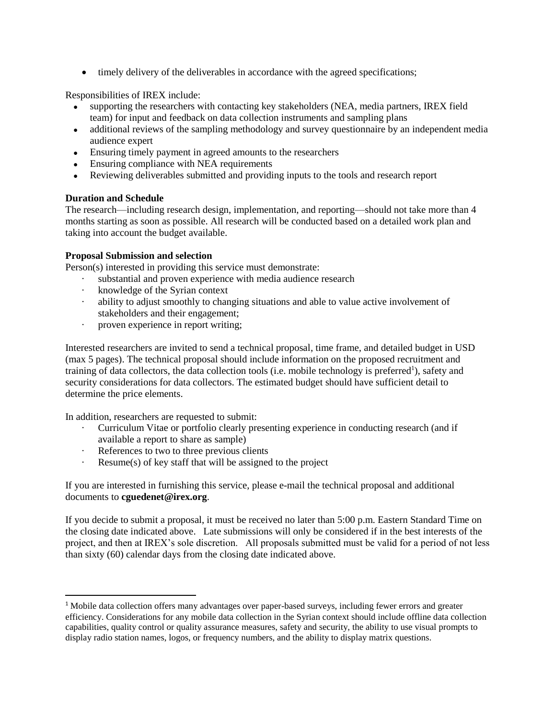• timely delivery of the deliverables in accordance with the agreed specifications;

Responsibilities of IREX include:

- supporting the researchers with contacting key stakeholders (NEA, media partners, IREX field team) for input and feedback on data collection instruments and sampling plans
- additional reviews of the sampling methodology and survey questionnaire by an independent media audience expert
- Ensuring timely payment in agreed amounts to the researchers
- Ensuring compliance with NEA requirements
- Reviewing deliverables submitted and providing inputs to the tools and research report

### **Duration and Schedule**

 $\overline{\phantom{a}}$ 

The research—including research design, implementation, and reporting—should not take more than 4 months starting as soon as possible. All research will be conducted based on a detailed work plan and taking into account the budget available.

### **Proposal Submission and selection**

Person(s) interested in providing this service must demonstrate:

- substantial and proven experience with media audience research
- · knowledge of the Syrian context
- · ability to adjust smoothly to changing situations and able to value active involvement of stakeholders and their engagement;
- proven experience in report writing;

Interested researchers are invited to send a technical proposal, time frame, and detailed budget in USD (max 5 pages). The technical proposal should include information on the proposed recruitment and training of data collectors, the data collection tools (i.e. mobile technology is preferred<sup>1</sup>), safety and security considerations for data collectors. The estimated budget should have sufficient detail to determine the price elements.

In addition, researchers are requested to submit:

- · Curriculum Vitae or portfolio clearly presenting experience in conducting research (and if available a report to share as sample)
- References to two to three previous clients
- · Resume(s) of key staff that will be assigned to the project

If you are interested in furnishing this service, please e-mail the technical proposal and additional documents to **cguedenet@irex.org**.

If you decide to submit a proposal, it must be received no later than 5:00 p.m. Eastern Standard Time on the closing date indicated above. Late submissions will only be considered if in the best interests of the project, and then at IREX's sole discretion. All proposals submitted must be valid for a period of not less than sixty (60) calendar days from the closing date indicated above.

<sup>&</sup>lt;sup>1</sup> Mobile data collection offers many advantages over paper-based surveys, including fewer errors and greater efficiency. Considerations for any mobile data collection in the Syrian context should include offline data collection capabilities, quality control or quality assurance measures, safety and security, the ability to use visual prompts to display radio station names, logos, or frequency numbers, and the ability to display matrix questions.